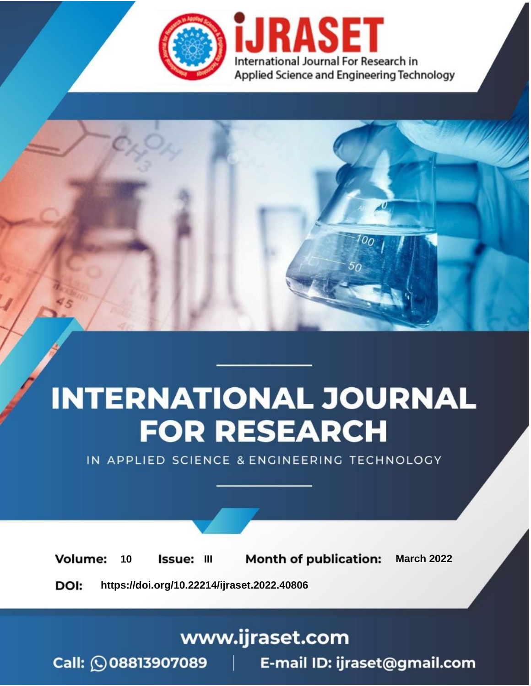

# **INTERNATIONAL JOURNAL FOR RESEARCH**

IN APPLIED SCIENCE & ENGINEERING TECHNOLOGY

10 **Issue: III Month of publication:** March 2022 **Volume:** 

**https://doi.org/10.22214/ijraset.2022.40806**DOI:

www.ijraset.com

Call: 008813907089 | E-mail ID: ijraset@gmail.com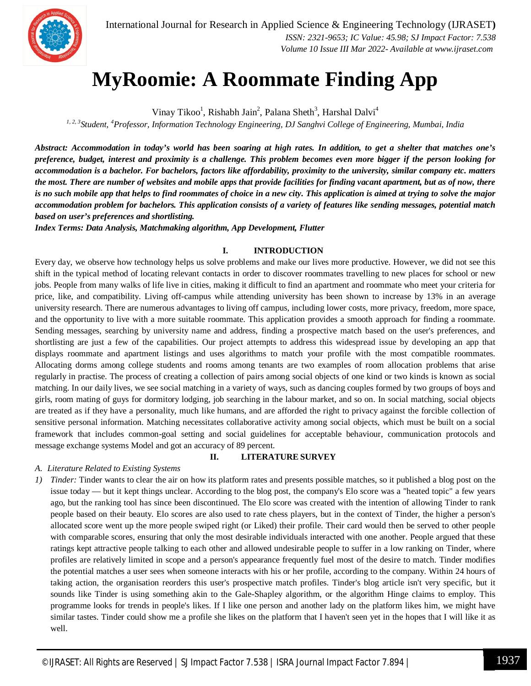

International Journal for Research in Applied Science & Engineering Technology (IJRASET**)**  *ISSN: 2321-9653; IC Value: 45.98; SJ Impact Factor: 7.538 Volume 10 Issue III Mar 2022- Available at www.ijraset.com*

### **MyRoomie: A Roommate Finding App**

Vinay Tikoo<sup>1</sup>, Rishabh Jain<sup>2</sup>, Palana Sheth<sup>3</sup>, Harshal Dalvi<sup>4</sup>

*1, 2, 3Student, <sup>4</sup>Professor, Information Technology Engineering, DJ Sanghvi College of Engineering, Mumbai, India*

*Abstract: Accommodation in today's world has been soaring at high rates. In addition, to get a shelter that matches one's preference, budget, interest and proximity is a challenge. This problem becomes even more bigger if the person looking for accommodation is a bachelor. For bachelors, factors like affordability, proximity to the university, similar company etc. matters the most. There are number of websites and mobile apps that provide facilities for finding vacant apartment, but as of now, there is no such mobile app that helps to find roommates of choice in a new city. This application is aimed at trying to solve the major accommodation problem for bachelors. This application consists of a variety of features like sending messages, potential match based on user's preferences and shortlisting.* 

*Index Terms: Data Analysis, Matchmaking algorithm, App Development, Flutter*

#### **I. INTRODUCTION**

Every day, we observe how technology helps us solve problems and make our lives more productive. However, we did not see this shift in the typical method of locating relevant contacts in order to discover roommates travelling to new places for school or new jobs. People from many walks of life live in cities, making it difficult to find an apartment and roommate who meet your criteria for price, like, and compatibility. Living off-campus while attending university has been shown to increase by 13% in an average university research. There are numerous advantages to living off campus, including lower costs, more privacy, freedom, more space, and the opportunity to live with a more suitable roommate. This application provides a smooth approach for finding a roommate. Sending messages, searching by university name and address, finding a prospective match based on the user's preferences, and shortlisting are just a few of the capabilities. Our project attempts to address this widespread issue by developing an app that displays roommate and apartment listings and uses algorithms to match your profile with the most compatible roommates. Allocating dorms among college students and rooms among tenants are two examples of room allocation problems that arise regularly in practise. The process of creating a collection of pairs among social objects of one kind or two kinds is known as social matching. In our daily lives, we see social matching in a variety of ways, such as dancing couples formed by two groups of boys and girls, room mating of guys for dormitory lodging, job searching in the labour market, and so on. In social matching, social objects are treated as if they have a personality, much like humans, and are afforded the right to privacy against the forcible collection of sensitive personal information. Matching necessitates collaborative activity among social objects, which must be built on a social framework that includes common-goal setting and social guidelines for acceptable behaviour, communication protocols and message exchange systems Model and got an accuracy of 89 percent.

#### *A. Literature Related to Existing Systems*

*1) Tinder:* Tinder wants to clear the air on how its platform rates and presents possible matches, so it published a blog post on the issue today — but it kept things unclear. According to the blog post, the company's Elo score was a "heated topic" a few years ago, but the ranking tool has since been discontinued. The Elo score was created with the intention of allowing Tinder to rank people based on their beauty. Elo scores are also used to rate chess players, but in the context of Tinder, the higher a person's allocated score went up the more people swiped right (or Liked) their profile. Their card would then be served to other people with comparable scores, ensuring that only the most desirable individuals interacted with one another. People argued that these ratings kept attractive people talking to each other and allowed undesirable people to suffer in a low ranking on Tinder, where profiles are relatively limited in scope and a person's appearance frequently fuel most of the desire to match. Tinder modifies the potential matches a user sees when someone interacts with his or her profile, according to the company. Within 24 hours of taking action, the organisation reorders this user's prospective match profiles. Tinder's blog article isn't very specific, but it sounds like Tinder is using something akin to the Gale-Shapley algorithm, or the algorithm Hinge claims to employ. This programme looks for trends in people's likes. If I like one person and another lady on the platform likes him, we might have similar tastes. Tinder could show me a profile she likes on the platform that I haven't seen yet in the hopes that I will like it as well.

**II. LITERATURE SURVEY**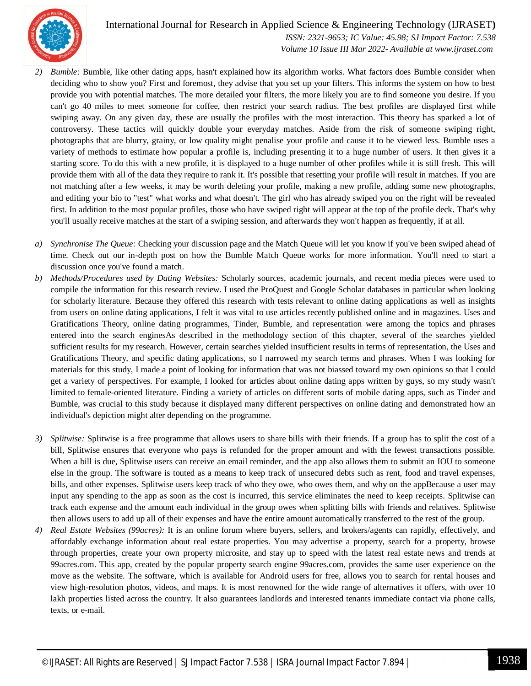

 *ISSN: 2321-9653; IC Value: 45.98; SJ Impact Factor: 7.538 Volume 10 Issue III Mar 2022- Available at www.ijraset.com*

- *2) Bumble:* Bumble, like other dating apps, hasn't explained how its algorithm works. What factors does Bumble consider when deciding who to show you? First and foremost, they advise that you set up your filters. This informs the system on how to best provide you with potential matches. The more detailed your filters, the more likely you are to find someone you desire. If you can't go 40 miles to meet someone for coffee, then restrict your search radius. The best profiles are displayed first while swiping away. On any given day, these are usually the profiles with the most interaction. This theory has sparked a lot of controversy. These tactics will quickly double your everyday matches. Aside from the risk of someone swiping right, photographs that are blurry, grainy, or low quality might penalise your profile and cause it to be viewed less. Bumble uses a variety of methods to estimate how popular a profile is, including presenting it to a huge number of users. It then gives it a starting score. To do this with a new profile, it is displayed to a huge number of other profiles while it is still fresh. This will provide them with all of the data they require to rank it. It's possible that resetting your profile will result in matches. If you are not matching after a few weeks, it may be worth deleting your profile, making a new profile, adding some new photographs, and editing your bio to "test" what works and what doesn't. The girl who has already swiped you on the right will be revealed first. In addition to the most popular profiles, those who have swiped right will appear at the top of the profile deck. That's why you'll usually receive matches at the start of a swiping session, and afterwards they won't happen as frequently, if at all.
- *a) Synchronise The Queue:* Checking your discussion page and the Match Queue will let you know if you've been swiped ahead of time. Check out our in-depth post on how the Bumble Match Queue works for more information. You'll need to start a discussion once you've found a match.
- *b) Methods/Procedures used by Dating Websites:* Scholarly sources, academic journals, and recent media pieces were used to compile the information for this research review. I used the ProQuest and Google Scholar databases in particular when looking for scholarly literature. Because they offered this research with tests relevant to online dating applications as well as insights from users on online dating applications, I felt it was vital to use articles recently published online and in magazines. Uses and Gratifications Theory, online dating programmes, Tinder, Bumble, and representation were among the topics and phrases entered into the search enginesAs described in the methodology section of this chapter, several of the searches yielded sufficient results for my research. However, certain searches yielded insufficient results in terms of representation, the Uses and Gratifications Theory, and specific dating applications, so I narrowed my search terms and phrases. When I was looking for materials for this study, I made a point of looking for information that was not biassed toward my own opinions so that I could get a variety of perspectives. For example, I looked for articles about online dating apps written by guys, so my study wasn't limited to female-oriented literature. Finding a variety of articles on different sorts of mobile dating apps, such as Tinder and Bumble, was crucial to this study because it displayed many different perspectives on online dating and demonstrated how an individual's depiction might alter depending on the programme.
- *3) Splitwise:* Splitwise is a free programme that allows users to share bills with their friends. If a group has to split the cost of a bill, Splitwise ensures that everyone who pays is refunded for the proper amount and with the fewest transactions possible. When a bill is due, Splitwise users can receive an email reminder, and the app also allows them to submit an IOU to someone else in the group. The software is touted as a means to keep track of unsecured debts such as rent, food and travel expenses, bills, and other expenses. Splitwise users keep track of who they owe, who owes them, and why on the appBecause a user may input any spending to the app as soon as the cost is incurred, this service eliminates the need to keep receipts. Splitwise can track each expense and the amount each individual in the group owes when splitting bills with friends and relatives. Splitwise then allows users to add up all of their expenses and have the entire amount automatically transferred to the rest of the group.
- *4) Real Estate Websites (99acres):* It is an online forum where buyers, sellers, and brokers/agents can rapidly, effectively, and affordably exchange information about real estate properties. You may advertise a property, search for a property, browse through properties, create your own property microsite, and stay up to speed with the latest real estate news and trends at 99acres.com. This app, created by the popular property search engine 99acres.com, provides the same user experience on the move as the website. The software, which is available for Android users for free, allows you to search for rental houses and view high-resolution photos, videos, and maps. It is most renowned for the wide range of alternatives it offers, with over 10 lakh properties listed across the country. It also guarantees landlords and interested tenants immediate contact via phone calls, texts, or e-mail.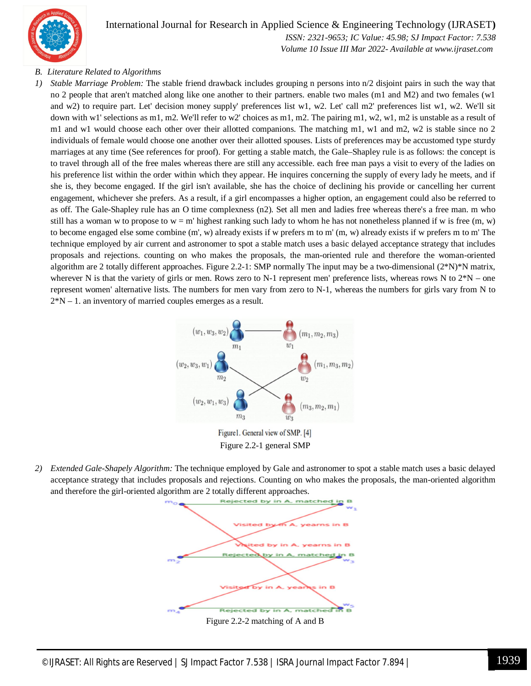

 *ISSN: 2321-9653; IC Value: 45.98; SJ Impact Factor: 7.538 Volume 10 Issue III Mar 2022- Available at www.ijraset.com*

#### *B. Literature Related to Algorithms*

*1) Stable Marriage Problem:* The stable friend drawback includes grouping n persons into n/2 disjoint pairs in such the way that no 2 people that aren't matched along like one another to their partners. enable two males (m1 and M2) and two females (w1 and w2) to require part. Let' decision money supply' preferences list w1, w2. Let' call m2' preferences list w1, w2. We'll sit down with w1' selections as m1, m2. We'll refer to w2' choices as m1, m2. The pairing m1, w2, w1, m2 is unstable as a result of m1 and w1 would choose each other over their allotted companions. The matching m1, w1 and m2, w2 is stable since no 2 individuals of female would choose one another over their allotted spouses. Lists of preferences may be accustomed type sturdy marriages at any time (See references for proof). For getting a stable match, the Gale–Shapley rule is as follows: the concept is to travel through all of the free males whereas there are still any accessible. each free man pays a visit to every of the ladies on his preference list within the order within which they appear. He inquires concerning the supply of every lady he meets, and if she is, they become engaged. If the girl isn't available, she has the choice of declining his provide or cancelling her current engagement, whichever she prefers. As a result, if a girl encompasses a higher option, an engagement could also be referred to as off. The Gale-Shapley rule has an O time complexness (n2). Set all men and ladies free whereas there's a free man. m who still has a woman w to propose to  $w = m'$  highest ranking such lady to whom he has not nonetheless planned if w is free  $(m, w)$ to become engaged else some combine (m', w) already exists if w prefers m to m' (m, w) already exists if w prefers m to m' The technique employed by air current and astronomer to spot a stable match uses a basic delayed acceptance strategy that includes proposals and rejections. counting on who makes the proposals, the man-oriented rule and therefore the woman-oriented algorithm are 2 totally different approaches. Figure 2.2-1: SMP normally The input may be a two-dimensional (2\*N)\*N matrix, wherever N is that the variety of girls or men. Rows zero to N-1 represent men' preference lists, whereas rows N to  $2*N$  – one represent women' alternative lists. The numbers for men vary from zero to N-1, whereas the numbers for girls vary from N to  $2*N - 1$ . an inventory of married couples emerges as a result.



Figure 2.2-1 general SMP

*2) Extended Gale-Shapely Algorithm:* The technique employed by Gale and astronomer to spot a stable match uses a basic delayed acceptance strategy that includes proposals and rejections. Counting on who makes the proposals, the man-oriented algorithm and therefore the girl-oriented algorithm are 2 totally different approaches.



Figure 2.2-2 matching of A and B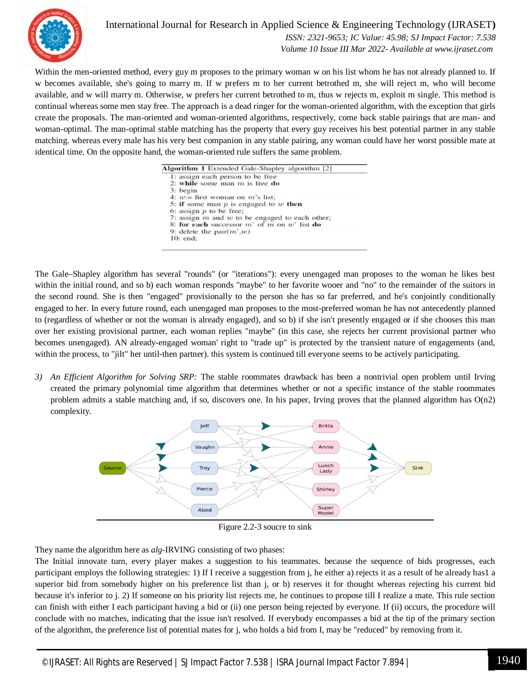

 *ISSN: 2321-9653; IC Value: 45.98; SJ Impact Factor: 7.538 Volume 10 Issue III Mar 2022- Available at www.ijraset.com*

Within the men-oriented method, every guy m proposes to the primary woman w on his list whom he has not already planned to. If w becomes available, she's going to marry m. If w prefers m to her current betrothed m, she will reject m, who will become available, and w will marry m. Otherwise, w prefers her current betrothed to m, thus w rejects m, exploit m single. This method is continual whereas some men stay free. The approach is a dead ringer for the woman-oriented algorithm, with the exception that girls create the proposals. The man-oriented and woman-oriented algorithms, respectively, come back stable pairings that are man- and woman-optimal. The man-optimal stable matching has the property that every guy receives his best potential partner in any stable matching. whereas every male has his very best companion in any stable pairing, any woman could have her worst possible mate at identical time. On the opposite hand, the woman-oriented rule suffers the same problem.

| <b>Algorithm 1</b> Extended Gale-Shapley algorithm [2] |  |
|--------------------------------------------------------|--|
| 1: assign each person to be free                       |  |
| 2: while some man $m$ is free do                       |  |
| 3: begin                                               |  |
| 4: $w =$ first woman on m's list:                      |  |
| 5: if some man $p$ is engaged to $w$ then              |  |
| 6: assign $p$ to be free;                              |  |
| 7: assign $m$ and $w$ to be engaged to each other;     |  |
| 8: for each successor $m'$ of $m$ on $w'$ list do      |  |
| 9: delete the pair $(m', w)$                           |  |
| $10:$ end:                                             |  |

The Gale–Shapley algorithm has several "rounds" (or "iterations"): every unengaged man proposes to the woman he likes best within the initial round, and so b) each woman responds "maybe" to her favorite wooer and "no" to the remainder of the suitors in the second round. She is then "engaged" provisionally to the person she has so far preferred, and he's conjointly conditionally engaged to her. In every future round, each unengaged man proposes to the most-preferred woman he has not antecedently planned to (regardless of whether or not the woman is already engaged), and so b) if she isn't presently engaged or if she chooses this man over her existing provisional partner, each woman replies "maybe" (in this case, she rejects her current provisional partner who becomes unengaged). AN already-engaged woman' right to "trade up" is protected by the transient nature of engagements (and, within the process, to "jilt" her until-then partner). this system is continued till everyone seems to be actively participating.

*3) An Efficient Algorithm for Solving SRP:* The stable roommates drawback has been a nontrivial open problem until Irving created the primary polynomial time algorithm that determines whether or not a specific instance of the stable roommates problem admits a stable matching and, if so, discovers one. In his paper, Irving proves that the planned algorithm has  $O(n2)$ complexity.



Figure 2.2-3 soucre to sink

They name the algorithm here as *alg*-IRVING consisting of two phases:

The Initial innovate turn, every player makes a suggestion to his teammates. because the sequence of bids progresses, each participant employs the following strategies: 1) If I receive a suggestion from j, he either a) rejects it as a result of he already has1 a superior bid from somebody higher on his preference list than j, or b) reserves it for thought whereas rejecting his current bid because it's inferior to j. 2) If someone on his priority list rejects me, he continues to propose till I realize a mate. This rule section can finish with either I each participant having a bid or (ii) one person being rejected by everyone. If (ii) occurs, the procedure will conclude with no matches, indicating that the issue isn't resolved. If everybody encompasses a bid at the tip of the primary section of the algorithm, the preference list of potential mates for j, who holds a bid from I, may be "reduced" by removing from it.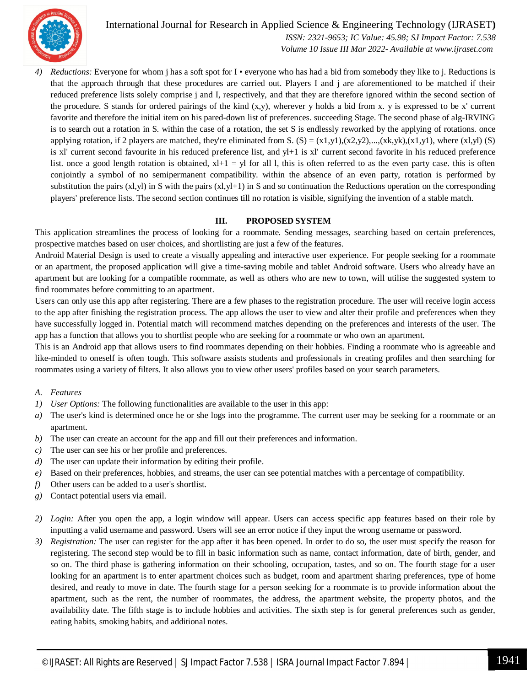

 *ISSN: 2321-9653; IC Value: 45.98; SJ Impact Factor: 7.538 Volume 10 Issue III Mar 2022- Available at www.ijraset.com*

*4) Reductions:* Everyone for whom j has a soft spot for I • everyone who has had a bid from somebody they like to j. Reductions is that the approach through that these procedures are carried out. Players I and j are aforementioned to be matched if their reduced preference lists solely comprise j and I, respectively, and that they are therefore ignored within the second section of the procedure. S stands for ordered pairings of the kind  $(x,y)$ , wherever y holds a bid from x. y is expressed to be x' current favorite and therefore the initial item on his pared-down list of preferences. succeeding Stage. The second phase of alg-IRVING is to search out a rotation in S. within the case of a rotation, the set S is endlessly reworked by the applying of rotations. once applying rotation, if 2 players are matched, they're eliminated from S.  $(S) = (x1,y1),(x2,y2),...,(xk,yk),(x1,y1),$  where  $(x1,y1)$   $(S)$ is xl' current second favourite in his reduced preference list, and yl+1 is xl' current second favorite in his reduced preference list. once a good length rotation is obtained,  $x+1 = y$  for all l, this is often referred to as the even party case, this is often conjointly a symbol of no semipermanent compatibility. within the absence of an even party, rotation is performed by substitution the pairs (xl,yl) in S with the pairs (xl,yl+1) in S and so continuation the Reductions operation on the corresponding players' preference lists. The second section continues till no rotation is visible, signifying the invention of a stable match.

#### **III. PROPOSED SYSTEM**

This application streamlines the process of looking for a roommate. Sending messages, searching based on certain preferences, prospective matches based on user choices, and shortlisting are just a few of the features.

Android Material Design is used to create a visually appealing and interactive user experience. For people seeking for a roommate or an apartment, the proposed application will give a time-saving mobile and tablet Android software. Users who already have an apartment but are looking for a compatible roommate, as well as others who are new to town, will utilise the suggested system to find roommates before committing to an apartment.

Users can only use this app after registering. There are a few phases to the registration procedure. The user will receive login access to the app after finishing the registration process. The app allows the user to view and alter their profile and preferences when they have successfully logged in. Potential match will recommend matches depending on the preferences and interests of the user. The app has a function that allows you to shortlist people who are seeking for a roommate or who own an apartment.

This is an Android app that allows users to find roommates depending on their hobbies. Finding a roommate who is agreeable and like-minded to oneself is often tough. This software assists students and professionals in creating profiles and then searching for roommates using a variety of filters. It also allows you to view other users' profiles based on your search parameters.

- *A. Features*
- *1) User Options:* The following functionalities are available to the user in this app:
- *a)* The user's kind is determined once he or she logs into the programme. The current user may be seeking for a roommate or an apartment.
- *b*) The user can create an account for the app and fill out their preferences and information.
- *c)* The user can see his or her profile and preferences.
- *d)* The user can update their information by editing their profile.
- *e)* Based on their preferences, hobbies, and streams, the user can see potential matches with a percentage of compatibility.
- *f)* Other users can be added to a user's shortlist.
- *g)* Contact potential users via email.
- *2) Login:* After you open the app, a login window will appear. Users can access specific app features based on their role by inputting a valid username and password. Users will see an error notice if they input the wrong username or password.
- *3) Registration:* The user can register for the app after it has been opened. In order to do so, the user must specify the reason for registering. The second step would be to fill in basic information such as name, contact information, date of birth, gender, and so on. The third phase is gathering information on their schooling, occupation, tastes, and so on. The fourth stage for a user looking for an apartment is to enter apartment choices such as budget, room and apartment sharing preferences, type of home desired, and ready to move in date. The fourth stage for a person seeking for a roommate is to provide information about the apartment, such as the rent, the number of roommates, the address, the apartment website, the property photos, and the availability date. The fifth stage is to include hobbies and activities. The sixth step is for general preferences such as gender, eating habits, smoking habits, and additional notes.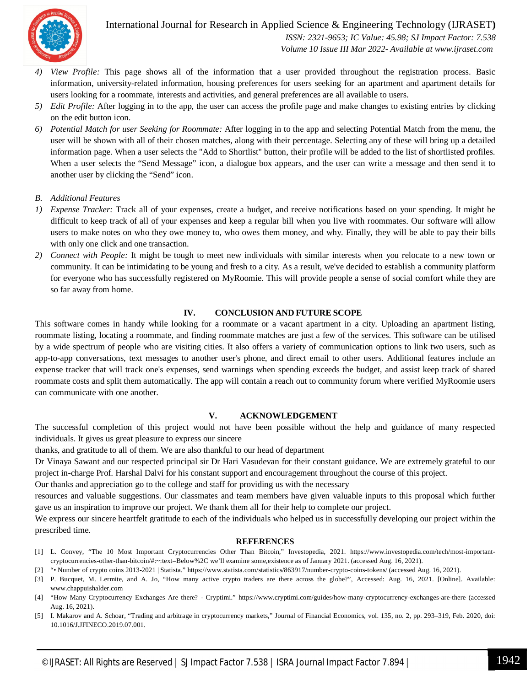

International Journal for Research in Applied Science & Engineering Technology (IJRASET**)**  *ISSN: 2321-9653; IC Value: 45.98; SJ Impact Factor: 7.538*

 *Volume 10 Issue III Mar 2022- Available at www.ijraset.com*

- *4) View Profile:* This page shows all of the information that a user provided throughout the registration process. Basic information, university-related information, housing preferences for users seeking for an apartment and apartment details for users looking for a roommate, interests and activities, and general preferences are all available to users.
- *5) Edit Profile:* After logging in to the app, the user can access the profile page and make changes to existing entries by clicking on the edit button icon.
- *6) Potential Match for user Seeking for Roommate:* After logging in to the app and selecting Potential Match from the menu, the user will be shown with all of their chosen matches, along with their percentage. Selecting any of these will bring up a detailed information page. When a user selects the "Add to Shortlist" button, their profile will be added to the list of shortlisted profiles. When a user selects the "Send Message" icon, a dialogue box appears, and the user can write a message and then send it to another user by clicking the "Send" icon.
- *B. Additional Features*
- *1) Expense Tracker:* Track all of your expenses, create a budget, and receive notifications based on your spending. It might be difficult to keep track of all of your expenses and keep a regular bill when you live with roommates. Our software will allow users to make notes on who they owe money to, who owes them money, and why. Finally, they will be able to pay their bills with only one click and one transaction.
- *2) Connect with People:* It might be tough to meet new individuals with similar interests when you relocate to a new town or community. It can be intimidating to be young and fresh to a city. As a result, we've decided to establish a community platform for everyone who has successfully registered on MyRoomie. This will provide people a sense of social comfort while they are so far away from home.

#### **IV. CONCLUSION AND FUTURE SCOPE**

This software comes in handy while looking for a roommate or a vacant apartment in a city. Uploading an apartment listing, roommate listing, locating a roommate, and finding roommate matches are just a few of the services. This software can be utilised by a wide spectrum of people who are visiting cities. It also offers a variety of communication options to link two users, such as app-to-app conversations, text messages to another user's phone, and direct email to other users. Additional features include an expense tracker that will track one's expenses, send warnings when spending exceeds the budget, and assist keep track of shared roommate costs and split them automatically. The app will contain a reach out to community forum where verified MyRoomie users can communicate with one another.

#### **V. ACKNOWLEDGEMENT**

The successful completion of this project would not have been possible without the help and guidance of many respected individuals. It gives us great pleasure to express our sincere

thanks, and gratitude to all of them. We are also thankful to our head of department

Dr Vinaya Sawant and our respected principal sir Dr Hari Vasudevan for their constant guidance. We are extremely grateful to our project in-charge Prof. Harshal Dalvi for his constant support and encouragement throughout the course of this project.

Our thanks and appreciation go to the college and staff for providing us with the necessary

resources and valuable suggestions. Our classmates and team members have given valuable inputs to this proposal which further gave us an inspiration to improve our project. We thank them all for their help to complete our project.

We express our sincere heartfelt gratitude to each of the individuals who helped us in successfully developing our project within the prescribed time.

#### **REFERENCES**

- [1] L. Convey, "The 10 Most Important Cryptocurrencies Other Than Bitcoin," Investopedia, 2021. https://www.investopedia.com/tech/most-importantcryptocurrencies-other-than-bitcoin/#:~:text=Below%2C we'll examine some,existence as of January 2021. (accessed Aug. 16, 2021).
- [2] "• Number of crypto coins 2013-2021 | Statista." https://www.statista.com/statistics/863917/number-crypto-coins-tokens/ (accessed Aug. 16, 2021).
- [3] P. Bucquet, M. Lermite, and A. Jo, "How many active crypto traders are there across the globe?", Accessed: Aug. 16, 2021. [Online]. Available: www.chappuishalder.com
- [4] "How Many Cryptocurrency Exchanges Are there? Cryptimi." https://www.cryptimi.com/guides/how-many-cryptocurrency-exchanges-are-there (accessed Aug. 16, 2021).
- [5] I. Makarov and A. Schoar, "Trading and arbitrage in cryptocurrency markets," Journal of Financial Economics, vol. 135, no. 2, pp. 293–319, Feb. 2020, doi: 10.1016/J.JFINECO.2019.07.001.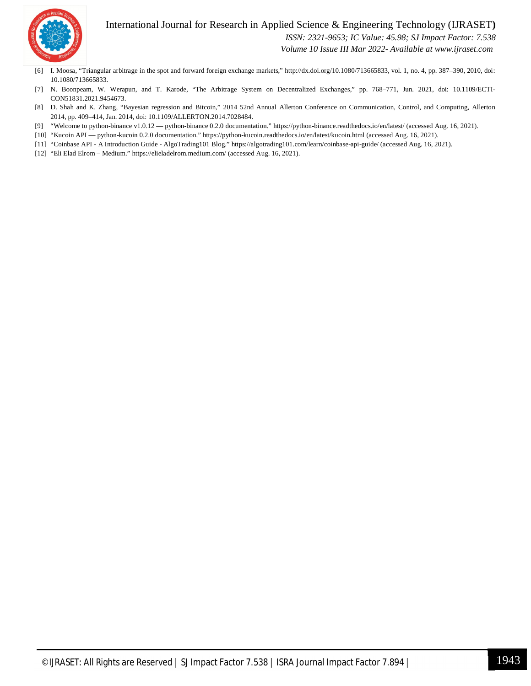

 *ISSN: 2321-9653; IC Value: 45.98; SJ Impact Factor: 7.538*

 *Volume 10 Issue III Mar 2022- Available at www.ijraset.com*

- [6] I. Moosa, "Triangular arbitrage in the spot and forward foreign exchange markets," http://dx.doi.org/10.1080/713665833, vol. 1, no. 4, pp. 387–390, 2010, doi: 10.1080/713665833.
- [7] N. Boonpeam, W. Werapun, and T. Karode, "The Arbitrage System on Decentralized Exchanges," pp. 768–771, Jun. 2021, doi: 10.1109/ECTI-CON51831.2021.9454673.
- [8] D. Shah and K. Zhang, "Bayesian regression and Bitcoin," 2014 52nd Annual Allerton Conference on Communication, Control, and Computing, Allerton 2014, pp. 409–414, Jan. 2014, doi: 10.1109/ALLERTON.2014.7028484.
- [9] "Welcome to python-binance v1.0.12 python-binance 0.2.0 documentation." https://python-binance.readthedocs.io/en/latest/ (accessed Aug. 16, 2021).
- [10] "Kucoin API python-kucoin 0.2.0 documentation." https://python-kucoin.readthedocs.io/en/latest/kucoin.html (accessed Aug. 16, 2021).
- [11] "Coinbase API A Introduction Guide AlgoTrading101 Blog." https://algotrading101.com/learn/coinbase-api-guide/ (accessed Aug. 16, 2021).
- [12] "Eli Elad Elrom Medium." https://elieladelrom.medium.com/ (accessed Aug. 16, 2021).